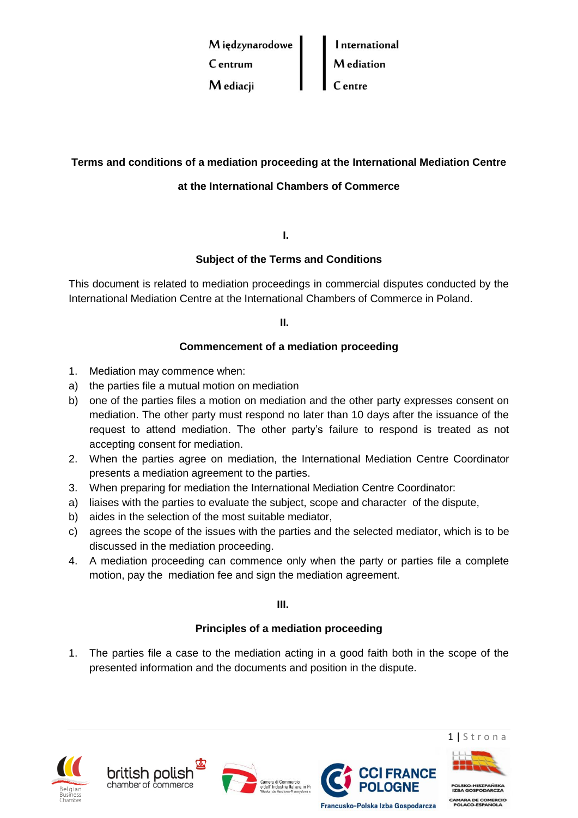

# **Terms and conditions of a mediation proceeding at the International Mediation Centre**

# **at the International Chambers of Commerce**

**I.**

# **Subject of the Terms and Conditions**

This document is related to mediation proceedings in commercial disputes conducted by the International Mediation Centre at the International Chambers of Commerce in Poland.

**II.**

## **Commencement of a mediation proceeding**

- 1. Mediation may commence when:
- a) the parties file a mutual motion on mediation
- b) one of the parties files a motion on mediation and the other party expresses consent on mediation. The other party must respond no later than 10 days after the issuance of the request to attend mediation. The other party's failure to respond is treated as not accepting consent for mediation.
- 2. When the parties agree on mediation, the International Mediation Centre Coordinator presents a mediation agreement to the parties.
- 3. When preparing for mediation the International Mediation Centre Coordinator:
- a) liaises with the parties to evaluate the subject, scope and character of the dispute,
- b) aides in the selection of the most suitable mediator,
- c) agrees the scope of the issues with the parties and the selected mediator, which is to be discussed in the mediation proceeding.
- 4. A mediation proceeding can commence only when the party or parties file a complete motion, pay the mediation fee and sign the mediation agreement.

**III.**

### **Principles of a mediation proceeding**

1. The parties file a case to the mediation acting in a good faith both in the scope of the presented information and the documents and position in the dispute.











**AMARA DE CO**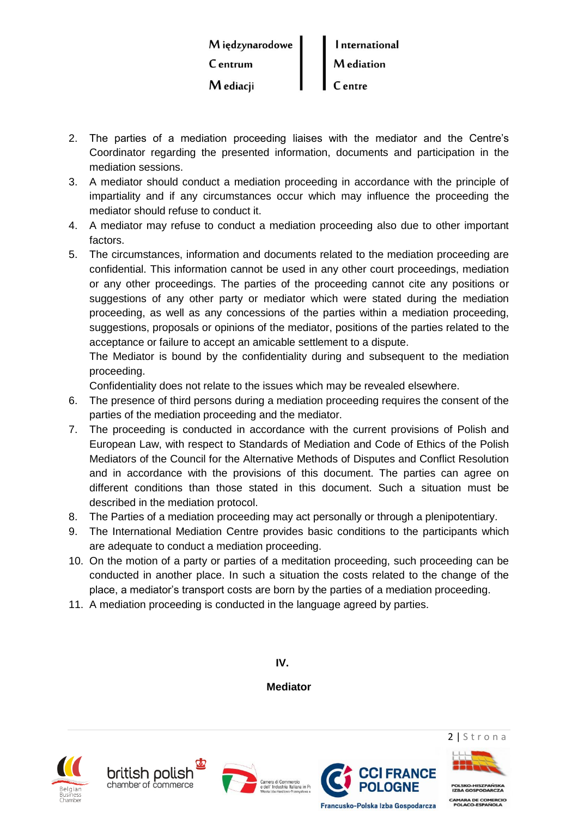| Międzynarodowe | International     |
|----------------|-------------------|
| C entrum       | <b>M</b> ediation |
| M ediacji      | C entre           |

- 2. The parties of a mediation proceeding liaises with the mediator and the Centre's Coordinator regarding the presented information, documents and participation in the mediation sessions.
- 3. A mediator should conduct a mediation proceeding in accordance with the principle of impartiality and if any circumstances occur which may influence the proceeding the mediator should refuse to conduct it.
- 4. A mediator may refuse to conduct a mediation proceeding also due to other important factors.
- 5. The circumstances, information and documents related to the mediation proceeding are confidential. This information cannot be used in any other court proceedings, mediation or any other proceedings. The parties of the proceeding cannot cite any positions or suggestions of any other party or mediator which were stated during the mediation proceeding, as well as any concessions of the parties within a mediation proceeding, suggestions, proposals or opinions of the mediator, positions of the parties related to the acceptance or failure to accept an amicable settlement to a dispute.

The Mediator is bound by the confidentiality during and subsequent to the mediation proceeding.

Confidentiality does not relate to the issues which may be revealed elsewhere.

- 6. The presence of third persons during a mediation proceeding requires the consent of the parties of the mediation proceeding and the mediator.
- 7. The proceeding is conducted in accordance with the current provisions of Polish and European Law, with respect to Standards of Mediation and Code of Ethics of the Polish Mediators of the Council for the Alternative Methods of Disputes and Conflict Resolution and in accordance with the provisions of this document. The parties can agree on different conditions than those stated in this document. Such a situation must be described in the mediation protocol.
- 8. The Parties of a mediation proceeding may act personally or through a plenipotentiary.
- 9. The International Mediation Centre provides basic conditions to the participants which are adequate to conduct a mediation proceeding.
- 10. On the motion of a party or parties of a meditation proceeding, such proceeding can be conducted in another place. In such a situation the costs related to the change of the place, a mediator's transport costs are born by the parties of a mediation proceeding.
- 11. A mediation proceeding is conducted in the language agreed by parties.

**IV.**

**Mediator**











**RA DE CO**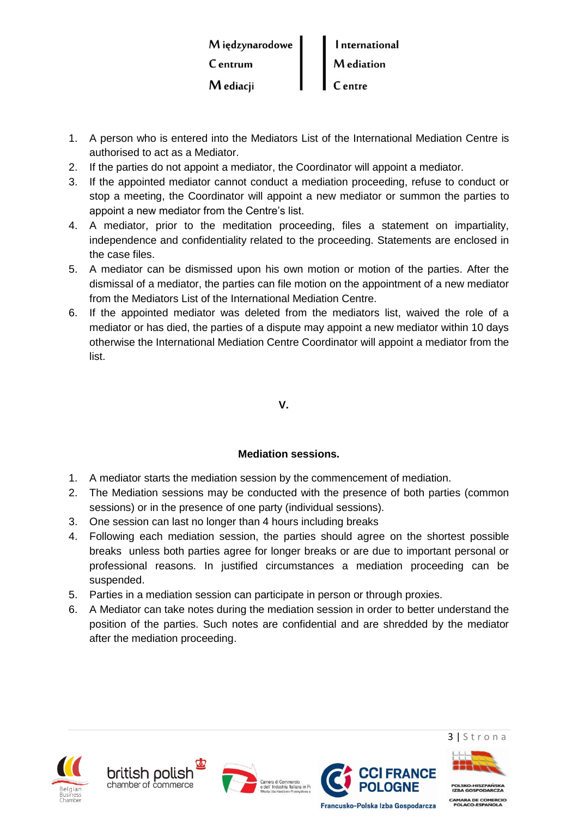| Międzynarodowe | International     |
|----------------|-------------------|
| C entrum       | <b>M</b> ediation |
| M ediacji      | <b>C</b> entre    |

- 1. A person who is entered into the Mediators List of the International Mediation Centre is authorised to act as a Mediator.
- 2. If the parties do not appoint a mediator, the Coordinator will appoint a mediator.
- 3. If the appointed mediator cannot conduct a mediation proceeding, refuse to conduct or stop a meeting, the Coordinator will appoint a new mediator or summon the parties to appoint a new mediator from the Centre's list.
- 4. A mediator, prior to the meditation proceeding, files a statement on impartiality, independence and confidentiality related to the proceeding. Statements are enclosed in the case files.
- 5. A mediator can be dismissed upon his own motion or motion of the parties. After the dismissal of a mediator, the parties can file motion on the appointment of a new mediator from the Mediators List of the International Mediation Centre.
- 6. If the appointed mediator was deleted from the mediators list, waived the role of a mediator or has died, the parties of a dispute may appoint a new mediator within 10 days otherwise the International Mediation Centre Coordinator will appoint a mediator from the list.

**V.**

# **Mediation sessions.**

- 1. A mediator starts the mediation session by the commencement of mediation.
- 2. The Mediation sessions may be conducted with the presence of both parties (common sessions) or in the presence of one party (individual sessions).
- 3. One session can last no longer than 4 hours including breaks
- 4. Following each mediation session, the parties should agree on the shortest possible breaks unless both parties agree for longer breaks or are due to important personal or professional reasons. In justified circumstances a mediation proceeding can be suspended.
- 5. Parties in a mediation session can participate in person or through proxies.
- 6. A Mediator can take notes during the mediation session in order to better understand the position of the parties. Such notes are confidential and are shredded by the mediator after the mediation proceeding.











CAMARA DE CO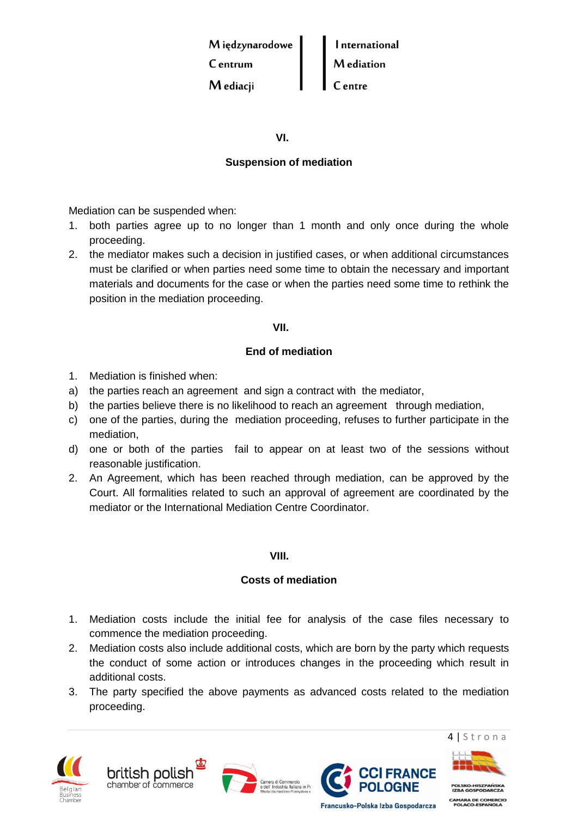

**VI.**

## **Suspension of mediation**

Mediation can be suspended when:

- 1. both parties agree up to no longer than 1 month and only once during the whole proceeding.
- 2. the mediator makes such a decision in justified cases, or when additional circumstances must be clarified or when parties need some time to obtain the necessary and important materials and documents for the case or when the parties need some time to rethink the position in the mediation proceeding.

### **VII.**

### **End of mediation**

- 1. Mediation is finished when:
- a) the parties reach an agreement and sign a contract with the mediator,
- b) the parties believe there is no likelihood to reach an agreement through mediation,
- c) one of the parties, during the mediation proceeding, refuses to further participate in the mediation,
- d) one or both of the parties fail to appear on at least two of the sessions without reasonable justification.
- 2. An Agreement, which has been reached through mediation, can be approved by the Court. All formalities related to such an approval of agreement are coordinated by the mediator or the International Mediation Centre Coordinator.

#### **VIII.**

### **Costs of mediation**

- 1. Mediation costs include the initial fee for analysis of the case files necessary to commence the mediation proceeding.
- 2. Mediation costs also include additional costs, which are born by the party which requests the conduct of some action or introduces changes in the proceeding which result in additional costs.
- 3. The party specified the above payments as advanced costs related to the mediation proceeding.



british polisł chamber of commerce







4 | S t r o n a

**RA DE CO** 

Francusko-Polska Izba Gospodarcza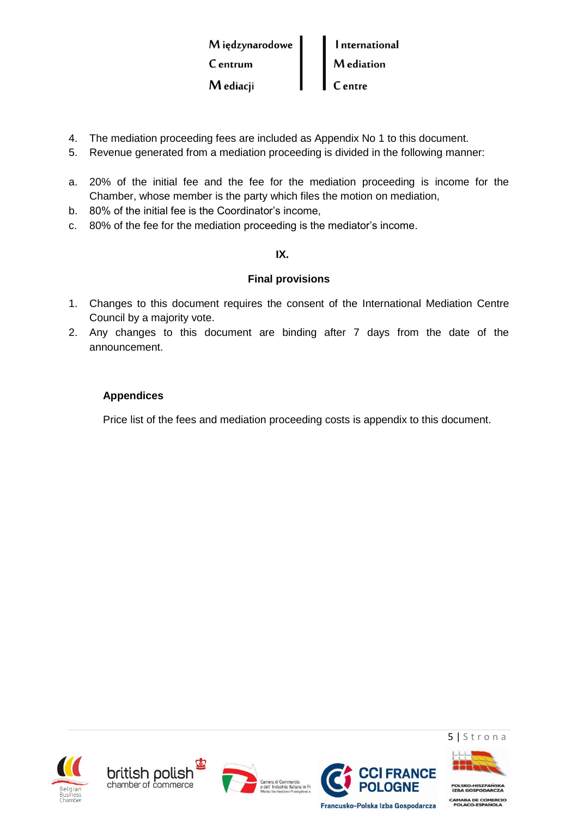| Międzynarodowe | <b>International</b> |
|----------------|----------------------|
| C entrum       | <b>M</b> ediation    |
| M ediacji      | C entre              |

- 4. The mediation proceeding fees are included as Appendix No 1 to this document.
- 5. Revenue generated from a mediation proceeding is divided in the following manner:
- a. 20% of the initial fee and the fee for the mediation proceeding is income for the Chamber, whose member is the party which files the motion on mediation,
- b. 80% of the initial fee is the Coordinator's income,
- c. 80% of the fee for the mediation proceeding is the mediator's income.

### **IX.**

## **Final provisions**

- 1. Changes to this document requires the consent of the International Mediation Centre Council by a majority vote.
- 2. Any changes to this document are binding after 7 days from the date of the announcement.

## **Appendices**

Price list of the fees and mediation proceeding costs is appendix to this document.











5 | S t r o n a

CAMARA DE COM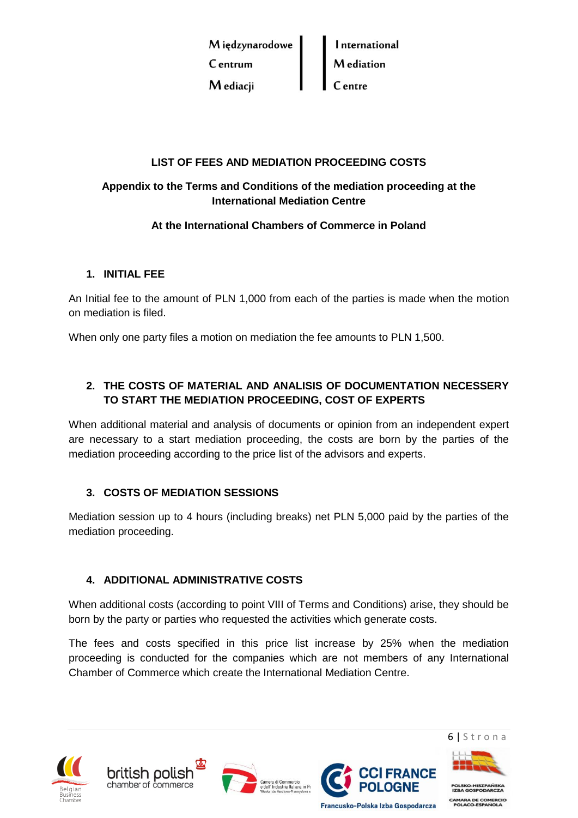

## **LIST OF FEES AND MEDIATION PROCEEDING COSTS**

# **Appendix to the Terms and Conditions of the mediation proceeding at the International Mediation Centre**

## **At the International Chambers of Commerce in Poland**

## **1. INITIAL FEE**

An Initial fee to the amount of PLN 1,000 from each of the parties is made when the motion on mediation is filed.

When only one party files a motion on mediation the fee amounts to PLN 1,500.

# **2. THE COSTS OF MATERIAL AND ANALISIS OF DOCUMENTATION NECESSERY TO START THE MEDIATION PROCEEDING, COST OF EXPERTS**

When additional material and analysis of documents or opinion from an independent expert are necessary to a start mediation proceeding, the costs are born by the parties of the mediation proceeding according to the price list of the advisors and experts.

## **3. COSTS OF MEDIATION SESSIONS**

Mediation session up to 4 hours (including breaks) net PLN 5,000 paid by the parties of the mediation proceeding.

## **4. ADDITIONAL ADMINISTRATIVE COSTS**

When additional costs (according to point VIII of Terms and Conditions) arise, they should be born by the party or parties who requested the activities which generate costs.

The fees and costs specified in this price list increase by 25% when the mediation proceeding is conducted for the companies which are not members of any International Chamber of Commerce which create the International Mediation Centre.











CAMARA DE CO